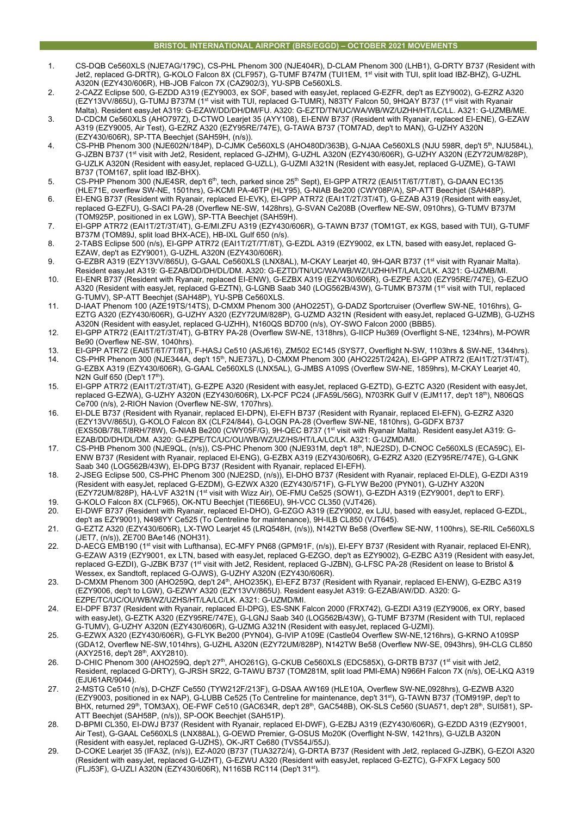### **BRISTOL INTERNATIONAL AIRPORT (BRS/EGGD) – OCTOBER 2021 MOVEMENTS**

- 1. CS-DQB Ce560XLS (NJE7AG/179C), CS-PHL Phenom 300 (NJE404R), D-CLAM Phenom 300 (LHB1), G-DRTY B737 (Resident with Jet2, replaced G-DRTR), G-KOLO Falcon 8X (CLF957), G-TUMF B747M (TUI1EM, 1st visit with TUI, split load IBZ-BHZ), G-UZHL A320N (EZY430/606R), HB-JOB Falcon 7X (CAZ902/3), YU-SPB Ce560XLS.
- 2. 2-CAZZ Eclipse 500, G-EZDD A319 (EZY9003, ex SOF, based with easyJet, replaced G-EZFR, dep't as EZY9002), G-EZRZ A320 (EZY13VV/865U), G-TUMJ B737M (1st visit with TUI, replaced G-TUMR), N83TY Falcon 50, 9HQAY B737 (1st visit with Ryanair Malta). Resident easyJet A319: G-EZAW/DD/DH/DM/FU. A320: G-EZTD/TN/UC/WA/WB/WZ/UZHH/HT/LC/LL. A321: G-UZMB/ME.
- 3. D-CDCM Ce560XLS (AHO797Z), D-CTWO Learjet 35 (AYY108), EI-ENW B737 (Resident with Ryanair, replaced EI-ENE), G-EZAW A319 (EZY9005, Air Test), G-EZRZ A320 (EZY95RE/747E), G-TAWA B737 (TOM7AD, dep't to MAN), G-UZHY A320N (EZY430/606R), SP-TTA Beechjet (SAH59H, (n/s)).
- 4. CS-PHB Phenom 300 (NJE602N/184P), D-CJMK Ce560XLS (AHO480D/363B), G-NJAA Ce560XLS (NJU 598R, dep't 5<sup>th</sup>, NJU584L), G-JZBN B737 (1st visit with Jet2, Resident, replaced G-JZHM), G-UZHL A320N (EZY430/606R), G-UZHY A320N (EZY72UM/828P), G-UZLK A320N (Resident with easyJet, replaced G-UZLL), G-UZMI A321N (Resident with easyJet, replaced G-UZME), G-TAWI B737 (TOM167, split load IBZ-BHX).
- 5. CS-PHP Phenom 300 (NJE4SR, dep't 6<sup>th</sup>, tech, parked since 25<sup>th</sup> Sept), EI-GPP ATR72 (EAI51T/6T/7T/8T), G-DAAN EC135 (HLE71E, overflew SW-NE, 1501hrs), G-KCMI PA-46TP (HLY95), G-NIAB Be200 (CWY08P/A), SP-ATT Beechjet (SAH48P).
- 6. EI-ENG B737 (Resident with Ryanair, replaced EI-EVK), EI-GPP ATR72 (EAI1T/2T/3T/4T), G-EZAB A319 (Resident with easyJet, replaced G-EZFU), G-SACI PA-28 (Overflew NE-SW, 1428hrs), G-SVAN Ce208B (Overflew NE-SW, 0910hrs), G-TUMV B737M (TOM925P, positioned in ex LGW), SP-TTA Beechjet (SAH59H).
- 7. EI-GPP ATR72 (EAI1T/2T/3T/4T), G-E/MI.ZFU A319 (EZY430/606R), G-TAWN B737 (TOM1GT, ex KGS, based with TUI), G-TUMF B737M (TOM89J, split load BHX-ACE), HB-IXL Gulf 650 (n/s).
- 8. 2-TABS Eclipse 500 (n/s), EI-GPP ATR72 (EAI1T/2T/7T/8T), G-EZDL A319 (EZY9002, ex LTN, based with easyJet, replaced G-EZAW, dep't as EZY9001), G-UZHL A320N (EZY430/606R).
- 9. G-EZBR A319 (EZY13VV/865U), G-GAAL Ce560XLS (LNX8AL), M-CKAY Learjet 40, 9H-QAR B737 (1st visit with Ryanair Malta). Resident easyJet A319: G-EZAB/DD/DH/DL/DM. A320: G-EZTD/TN/UC/WA/WB/WZ/UZHH/HT/LA/LC/LK. A321: G-UZMB/MI.
- 10. EI-ENR B737 (Resident with Ryanair, replaced EI-ENW), G-EZBX A319 (EZY430/606R), G-EZPE A320 (EZY95RE/747E), G-EZUO A320 (Resident with easyJet, replaced G-EZTN), G-LGNB Saab 340 (LOG562B/43W), G-TUMK B737M (1<sup>st</sup> visit with TUI, replaced G-TUMV), SP-ATT Beechjet (SAH48P), YU-SPB Ce560XLS.
- 11. D-IAAT Phenom 100 (AZE19TS/14TS), D-CMXM Phenom 300 (AHO225T), G-DADZ Sportcruiser (Overflew SW-NE, 1016hrs), G-EZTG A320 (EZY430/606R), G-UZHY A320 (EZY72UM/828P), G-UZMD A321N (Resident with easyJet, replaced G-UZMB), G-UZHS A320N (Resident with easyJet, replaced G-UZHH), N160QS BD700 (n/s), OY-SWO Falcon 2000 (BBB5).
- 12. EI-GPP ATR72 (EAI1T/2T/3T/4T), G-BTRY PA-28 (Overflew SW-NE, 1318hrs), G-IICP Hu369 (Overflight S-NE, 1234hrs), M-POWR Be90 (Overflew NE-SW, 1040hrs).
- 13. EI-GPP ATR72 (EAI5T/6T/7T/8T), F-HASJ Ce510 (ASJ616), ZM502 EC145 (SYS77, Overflight N-SW, 1103hrs & SW-NE, 1344hrs).
- 14. CS-PHR Phenom 300 (NJE344A, dep't 15th, NJE737L), D-CMXM Phenom 300 (AHO225T/242A), EI-GPP ATR72 (EAI1T/2T/3T/4T), G-EZBX A319 (EZY430/606R), G-GAAL Ce560XLS (LNX5AL), G-JMBS A109S (Overflew SW-NE, 1859hrs), M-CKAY Learjet 40, N2N Gulf 650 (Dep't 17<sup>th</sup>).
- 15. EI-GPP ATR72 (EAI1T/2T/3T/4T), G-EZPE A320 (Resident with easyJet, replaced G-EZTD), G-EZTC A320 (Resident with easyJet, replaced G-EZWA), G-UZHY A320N (EZY430/606R), LX-PCF PC24 (JFA59L/56G), N703RK Gulf V (EJM117, dep't 18th), N806QS Ce700 (n/s), 2-RIOH Navion (Overflew NE-SW, 1707hrs).
- 16. EI-DLE B737 (Resident with Ryanair, replaced EI-DPN), EI-EFH B737 (Resident with Ryanair, replaced EI-EFN), G-EZRZ A320 (EZY13VV/865U), G-KOLO Falcon 8X (CLF24/844), G-LOGN PA-28 (Overflew SW-NE, 1810hrs), G-GDFX B737 (EXS50B/78LT/8RH/78W), G-NIAB Be200 (CWY05F/G), 9H-QEC B737 (1st visit with Ryanair Malta). Resident easyJet A319: G-EZAB/DD/DH/DL/DM. A320: G-EZPE/TC/UC/OU/WB/WZ/UZ/HS/HT/LA/LC/LK. A321: G-UZMD/MI.
- 17. CS-PHB Phenom 300 (NJE9QL, (n/s)), CS-PHC Phenom 300 (NJE931M, dep't 18th, NJE2SD), D-CNOC Ce560XLS (ECA59C), EI-ENW B737 (Resident with Ryanair, replaced EI-ENG), G-EZBX A319 (EZY430/606R), G-EZRZ A320 (EZY95RE/747E), G-LGNK Saab 340 (LOG562B/43W), EI-DPG B737 (Resident with Ryanair, replaced EI-EFH).
- 18. 2-JSEG Eclipse 500, CS-PHC Phenom 300 (NJE2SD, (n/s)), EI-DHO B737 (Resident with Ryanair, replaced EI-DLE), G-EZDI A319 (Resident with easyJet, replaced G-EZDM), G-EZWX A320 (EZY430/571F), G-FLYW Be200 (PYN01), G-UZHY A320N (EZY72UM/828P), HA-LVF A321N (1st visit with Wizz Air), OE-FMU Ce525 (SOW1), G-EZDH A319 (EZY9001, dep't to ERF).
- 19. G-KOLO Falcon 8X (CLF965), OK-NTU Beechjet (TIE66EU), 9H-VCC CL350 (VJT426).
- 20. EI-DWF B737 (Resident with Ryanair, replaced EI-DHO), G-EZGO A319 (EZY9002, ex LJU, based with easyJet, replaced G-EZDL, dep't as EZY9001), N498YY Ce525 (To Centreline for maintenance), 9H-ILB CL850 (VJT645).
- 21. G-EZTZ A320 (EZY430/606R), LX-TWO Learjet 45 (LRQ548H, (n/s)), N142TW Be58 (Overflew SE-NW, 1100hrs), SE-RIL Ce560XLS (JET7, (n/s)), ZE700 BAe146 (NOH31).
- 22. D-AECG EMB190 (1st visit with Lufthansa), EC-MFY PN68 (GPM91F, (n/s)), EI-EFY B737 (Resident with Ryanair, replaced EI-ENR), G-EZAW A319 (EZY9001, ex LTN, based with easyJet, replaced G-EZGO, dep't as EZY9002), G-EZBC A319 (Resident with easyJet, replaced G-EZDI), G-JZBK B737 (1st visit with Jet2, Resident, replaced G-JZBN), G-LFSC PA-28 (Resident on lease to Bristol & Wessex, ex Sandtoft, replaced G-OJWS), G-UZHY A320N (EZY430/606R).
- 23. D-CMXM Phenom 300 (AHO259Q, dep't 24th, AHO235K), EI-EFZ B737 (Resident with Ryanair, replaced EI-ENW), G-EZBC A319 (EZY9006, dep't to LGW), G-EZWY A320 (EZY13VV/865U). Resident easyJet A319: G-EZAB/AW/DD. A320: G-EZPE/TC/UC/OU/WB/WZ/UZHS/HT/LA/LC/LK. A321: G-UZMD/MI.
- 24. EI-DPF B737 (Resident with Ryanair, replaced EI-DPG), ES-SNK Falcon 2000 (FRX742), G-EZDI A319 (EZY9006, ex ORY, based with easyJet), G-EZTK A320 (EZY95RE/747E), G-LGNJ Saab 340 (LOG562B/43W), G-TUMF B737M (Resident with TUI, replaced G-TUMV), G-UZHY A320N (EZY430/606R), G-UZMG A321N (Resident with easyJet, replaced G-UZMI).
- 25. G-EZWX A320 (EZY430/606R), G-FLYK Be200 (PYN04), G-IVIP A109E (Castle04 Overflew SW-NE,1216hrs), G-KRNO A109SP (GDA12, Overflew NE-SW,1014hrs), G-UZHL A320N (EZY72UM/828P), N142TW Be58 (Overflew NW-SE, 0943hrs), 9H-CLG CL850 (AXY2516, dep't 28<sup>th</sup>, AXY2810).
- 26. D-CHIC Phenom 300 (AHO259Q, dep't 27<sup>th</sup>, AHO261G), G-CKUB Ce560XLS (EDC585X), G-DRTB B737 (1<sup>st</sup> visit with Jet2, Resident, replaced G-DRTY), G-JRSH SR22, G-TAWU B737 (TOM281M, split load PMI-EMA) N966H Falcon 7X (n/s), OE-LKQ A319 (EJU61AR/9044).
- 27. 2-MSTG Ce510 (n/s), D-CHZF Ce550 (TYW212F/213F), G-DSAA AW169 (HLE10A, Overflew SW-NE,0928hrs), G-EZWB A320 (EZY9003, positioned in ex NAP), G-LUBB Ce525 (To Centreline for maintenance, dep't 31st), G-TAWN B737 (TOM919P, dep't to BHX, returned 29<sup>th</sup>, TOM3AX), OE-FWF Ce510 (GAC634R, dep't 28<sup>th</sup>, GAC548B), OK-SLS Ce560 (SUA571, dep't 28<sup>th</sup>, SUI581), SP-ATT Beechjet (SAH58P, (n/s)), SP-OOK Beechjet (SAH51P).
- 28. D-BPMI CL350, EI-DWJ B737 (Resident with Ryanair, replaced EI-DWF), G-EZBJ A319 (EZY430/606R), G-EZDD A319 (EZY9001, Air Test), G-GAAL Ce560XLS (LNX88AL), G-OEWD Premier, G-OSUS Mo20K (Overflight N-SW, 1421hrs), G-UZLB A320N (Resident with easyJet, replaced G-UZHS), OK-JRT Ce680 (TVS54J/55J).
- 29. D-COKE Learjet 35 (IFA3Z, (n/s)), EZ-A020 (B737 (TUA3272/4), G-DRTA B737 (Resident with Jet2, replaced G-JZBK), G-EZOI A320 (Resident with easyJet, replaced G-UZHT), G-EZWU A320 (Resident with easyJet, replaced G-EZTC), G-FXFX Legacy 500 (FLJ53F), G-UZLI A320N (EZY430/606R), N116SB RC114 (Dep't 31st).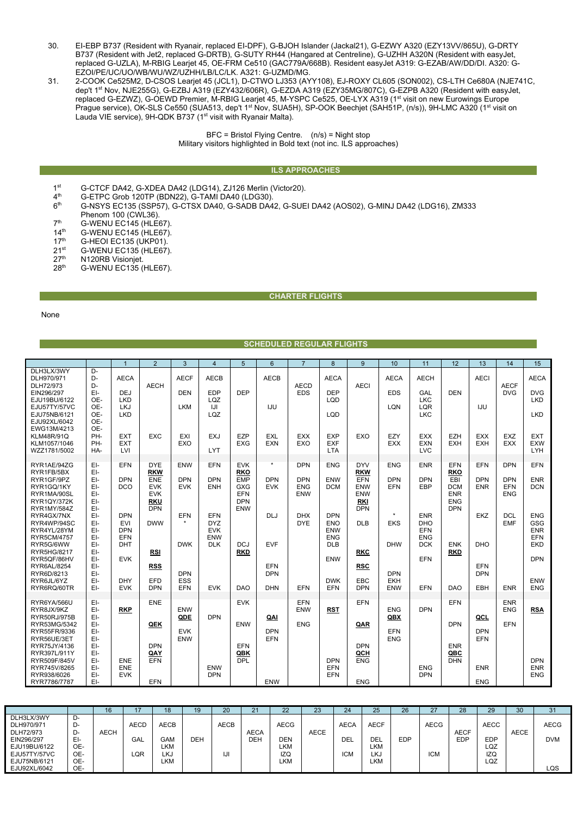- 30. EI-EBP B737 (Resident with Ryanair, replaced EI-DPF), G-BJOH Islander (Jackal21), G-EZWY A320 (EZY13VV/865U), G-DRTY B737 (Resident with Jet2, replaced G-DRTB), G-SUTY RH44 (Hangared at Centreline), G-UZHH A320N (Resident with easyJet, replaced G-UZLA), M-RBIG Learjet 45, OE-FRM Ce510 (GAC779A/668B). Resident easyJet A319: G-EZAB/AW/DD/DI. A320: G-EZOI/PE/UC/UO/WB/WU/WZ/UZHH/LB/LC/LK. A321: G-UZMD/MG.
- 31. 2-COOK Ce525M2, D-CSOS Learjet 45 (JCL1), D-CTWO LJ353 (AYY108), EJ-ROXY CL605 (SON002), CS-LTH Ce680A (NJE741C, dep't 1st Nov, NJE255G), G-EZBJ A319 (EZY432/606R), G-EZDA A319 (EZY35MG/807C), G-EZPB A320 (Resident with easyJet, replaced G-EZWZ), G-OEWD Premier, M-RBIG Learjet 45, M-YSPC Ce525, OE-LYX A319 (1st visit on new Eurowings Europe Prague service), OK-SLS Ce550 (SUA513, dep't 1<sup>st</sup> Nov, SUA5H), SP-OOK Beechjet (SAH51P, (n/s)), 9H-LMC A320 (1<sup>st</sup> visit on Lauda VIE service), 9H-QDK B737 (1<sup>st</sup> visit with Ryanair Malta).

BFC = Bristol Flying Centre. (n/s) = Night stop Military visitors highlighted in Bold text (not inc. ILS approaches)

## **ILS APPROACHES ILS APPROACHES**

- $1<sup>st</sup>$  G-CTCF DA42, G-XDEA DA42 (LDG14), ZJ126 Merlin (Victor20).<br> $4<sup>th</sup>$  G-FTPC Grob 120TP (BDN22), G-TAMI DA40 (LDG30)
- 4<sup>th</sup> G-ETPC Grob 120TP (BDN22), G-TAMI DA40 (LDG30).<br>6<sup>th</sup> G-NSYS EC135 (SSP57), G-CTSX DA40, G-SADB DA4
- 6th G-NSYS EC135 (SSP57), G-CTSX DA40, G-SADB DA42, G-SUEI DA42 (AOS02), G-MINJ DA42 (LDG16), ZM333
- Phenom 100 (CWL36).
- $7<sup>th</sup>$  G-WENU EC145 (HLE67).<br>14<sup>th</sup> G-WENU FC145 (HLE67).
- $14^{th}$  G-WENU EC145 (HLE67).<br> $17^{th}$  G-HEOI EC135 (UKP01).
- 17<sup>th</sup> G-HEOI EC135 (UKP01).<br>21<sup>st</sup> G-WENU EC135 (HLE67)
- $21^{st}$  G-WENU EC135 (HLE67).<br> $27^{th}$  N120RB Visioniet.
- 27<sup>th</sup> N120RB Visionjet.<br>28<sup>th</sup> G-WENU FC135 (
- G-WENU EC135 (HLE67).

#### **CHARTER FLIGHTS**

None

# **SCHEDULED REGULAR FLIGHTS**

|                                                                                                                                    |                                                             | $\overline{1}$                                               | $\overline{2}$                                                            | 3                                       | $\overline{4}$                                              | 5                                                                         | 6                         | $\overline{7}$                         | 8                                                           | 9                                                           | 10                                  | 11                                                                 | 12                                                                        | 13                        | 14                              | 15                                                   |
|------------------------------------------------------------------------------------------------------------------------------------|-------------------------------------------------------------|--------------------------------------------------------------|---------------------------------------------------------------------------|-----------------------------------------|-------------------------------------------------------------|---------------------------------------------------------------------------|---------------------------|----------------------------------------|-------------------------------------------------------------|-------------------------------------------------------------|-------------------------------------|--------------------------------------------------------------------|---------------------------------------------------------------------------|---------------------------|---------------------------------|------------------------------------------------------|
| DLH3LX/3WY<br>DLH970/971<br>DLH72/973<br>EIN296/297<br>EJU19BU/6122<br>EJU57TY/57VC<br>EJU75NB/6121<br>EJU92XL/6042<br>EWG13M/4213 | D-<br>$D -$<br>D-<br>EI-<br>OE-<br>OE-<br>OE-<br>OE-<br>OE- | <b>AECA</b><br><b>DEJ</b><br><b>LKD</b><br><b>LKJ</b><br>LKD | <b>AECH</b>                                                               | <b>AECF</b><br><b>DEN</b><br><b>LKM</b> | <b>AECB</b><br><b>EDP</b><br>LQZ<br>IJI<br>LQZ              | <b>DEP</b>                                                                | <b>AECB</b><br><b>IJU</b> | <b>AECD</b><br><b>EDS</b>              | <b>AECA</b><br><b>DEP</b><br>LQD<br>LQD                     | <b>AECI</b>                                                 | <b>AECA</b><br><b>EDS</b><br>LQN    | <b>AECH</b><br>GAL<br><b>LKC</b><br>LQR<br><b>LKC</b>              | <b>DEN</b>                                                                | <b>AECI</b><br><b>IJU</b> | <b>AECF</b><br><b>DVG</b>       | <b>AECA</b><br><b>DVG</b><br><b>LKD</b><br>LKD       |
| <b>KLM48R/91Q</b><br>KLM1057/1046<br>WZZ1781/5002                                                                                  | PH-<br>PH-<br>HA-                                           | <b>EXT</b><br><b>EXT</b><br>LVI                              | <b>EXC</b>                                                                | EXI<br>EXO                              | <b>EXJ</b><br><b>LYT</b>                                    | EZP<br><b>EXG</b>                                                         | <b>EXL</b><br>EXN         | <b>EXX</b><br>EXO                      | <b>EXP</b><br><b>EXF</b><br><b>LTA</b>                      | <b>EXO</b>                                                  | EZY<br><b>EXX</b>                   | <b>EXX</b><br><b>EXN</b><br><b>LVC</b>                             | EZH<br><b>EXH</b>                                                         | <b>EXX</b><br><b>EXH</b>  | <b>EXZ</b><br><b>EXX</b>        | <b>EXT</b><br><b>EXW</b><br>LYH                      |
| RYR1AE/94ZG                                                                                                                        | EI-                                                         | EFN                                                          | <b>DYE</b>                                                                | ENW                                     | <b>EFN</b>                                                  | <b>EVK</b>                                                                | $^\star$                  | <b>DPN</b>                             | <b>ENG</b>                                                  | <b>DYV</b>                                                  | <b>ENG</b>                          | <b>ENR</b>                                                         | EFN                                                                       | EFN                       | <b>DPN</b>                      | EFN                                                  |
| RYR1FB/5BX<br>RYR1GF/9PZ<br>RYR1GQ/1KY<br>RYR1MA/90SL<br><b>RYR1QY/372K</b><br>RYR1MY/584Z                                         | EI-<br>EI-<br>EI-<br>EI-<br>EI-<br>EI-                      | <b>DPN</b><br><b>DCO</b>                                     | <b>RKW</b><br>ENE<br><b>EVK</b><br><b>EVK</b><br><b>RKU</b><br><b>DPN</b> | <b>DPN</b><br><b>EVK</b>                | <b>DPN</b><br><b>ENH</b>                                    | <b>RKO</b><br><b>EMP</b><br><b>GXG</b><br>EFN<br><b>DPN</b><br><b>ENW</b> | <b>DPN</b><br><b>EVK</b>  | <b>DPN</b><br><b>ENG</b><br><b>ENW</b> | <b>ENW</b><br><b>DCM</b>                                    | <b>RKW</b><br>EFN<br>ENW<br>ENW<br><b>RKI</b><br><b>DPN</b> | <b>DPN</b><br><b>EFN</b>            | <b>DPN</b><br>EBP                                                  | <b>RKO</b><br>EBI<br><b>DCM</b><br><b>ENR</b><br><b>ENG</b><br><b>DPN</b> | <b>DPN</b><br><b>ENR</b>  | <b>DPN</b><br>EFN<br><b>ENG</b> | <b>ENR</b><br><b>DCN</b>                             |
| RYR4GX/7NX<br>RYR4WP/94SC<br>RYR4YL/28YM<br><b>RYR5CM/4757</b><br>RYR5G/6WW                                                        | EI-<br>EI-<br>EI-<br>EI-<br>EI-                             | <b>DPN</b><br>EVI<br><b>DPN</b><br><b>EFN</b><br>DHT         | <b>DWW</b>                                                                | EFN<br>$\star$<br><b>DWK</b>            | <b>EFN</b><br><b>DYZ</b><br><b>EVK</b><br>ENW<br><b>DLK</b> | <b>DCJ</b>                                                                | <b>DLJ</b><br><b>EVF</b>  | <b>DHX</b><br><b>DYE</b>               | <b>DPN</b><br><b>ENO</b><br>ENW<br><b>ENG</b><br><b>DLB</b> | <b>DLB</b>                                                  | $\star$<br><b>EKS</b><br><b>DHW</b> | <b>ENR</b><br><b>DHO</b><br><b>EFN</b><br><b>ENG</b><br><b>DCK</b> | <b>ENK</b>                                                                | EKZ<br><b>DHO</b>         | DCL<br><b>EMF</b>               | <b>ENG</b><br><b>GSG</b><br><b>ENR</b><br>EFN<br>EKD |
| RYR5HG/8217<br>RYR5QF/86HV<br>RYR6AL/8254                                                                                          | EI-<br>EI-<br>EI-                                           | <b>EVK</b>                                                   | <b>RSI</b><br><b>RSS</b>                                                  |                                         |                                                             | <b>RKD</b>                                                                | EFN                       |                                        | <b>ENW</b>                                                  | <b>RKC</b><br><b>RSC</b>                                    |                                     | <b>EFN</b>                                                         | <b>RKD</b>                                                                | <b>EFN</b>                |                                 | <b>DPN</b>                                           |
| RYR6D/8213<br>RYR6JL/6YZ                                                                                                           | EI-<br>EI-                                                  | <b>DHY</b>                                                   | EFD                                                                       | <b>DPN</b><br><b>ESS</b>                |                                                             |                                                                           | <b>DPN</b>                |                                        | <b>DWK</b>                                                  | EBC                                                         | <b>DPN</b><br><b>EKH</b>            |                                                                    |                                                                           | <b>DPN</b>                |                                 | <b>ENW</b>                                           |
| RYR6RQ/60TR                                                                                                                        | EI-                                                         | <b>EVK</b>                                                   | <b>DPN</b>                                                                | EFN                                     | <b>EVK</b>                                                  | DAO                                                                       | <b>DHN</b>                | EFN                                    | EFN                                                         | <b>DPN</b>                                                  | <b>ENW</b>                          | EFN                                                                | <b>DAO</b>                                                                | EBH                       | <b>ENR</b>                      | <b>ENG</b>                                           |
| RYR6YA/566U<br>RYR8JX/9KZ<br>RYR50RJ/975B                                                                                          | EI-<br>EI-<br>EI-                                           | <b>RKP</b>                                                   | ENE                                                                       | ENW<br>QDE                              | <b>DPN</b>                                                  | <b>EVK</b>                                                                | QAI                       | EFN<br>ENW                             | <b>RST</b>                                                  | EFN                                                         | <b>ENG</b><br>QBX                   | <b>DPN</b>                                                         | EFN                                                                       | QCL                       | <b>ENR</b><br><b>ENG</b>        | <b>RSA</b>                                           |
| RYR53MG/5342<br>RYR55FR/9336                                                                                                       | EI-<br>EI-                                                  |                                                              | QEK                                                                       | <b>EVK</b>                              |                                                             | <b>ENW</b>                                                                | <b>DPN</b>                | <b>ENG</b>                             |                                                             | QAR                                                         | EFN                                 |                                                                    | <b>DPN</b>                                                                | <b>DPN</b>                | EFN                             |                                                      |
| RYR56UE/3ET<br>RYR75JY/4136                                                                                                        | EI-<br>EI-                                                  |                                                              | <b>DPN</b>                                                                | ENW                                     |                                                             | EFN                                                                       | EFN                       |                                        |                                                             | <b>DPN</b>                                                  | <b>ENG</b>                          |                                                                    | <b>ENR</b>                                                                | EFN                       |                                 |                                                      |
| RYR397L/911Y<br>RYR509F/845V                                                                                                       | EI-                                                         | <b>ENE</b>                                                   | QAY<br>EFN                                                                |                                         |                                                             | QBK<br><b>DPL</b>                                                         |                           |                                        | <b>DPN</b>                                                  | QCH                                                         |                                     |                                                                    | QBC<br><b>DHN</b>                                                         |                           |                                 | <b>DPN</b>                                           |
| RYR745V/8265<br>RYR938/6026                                                                                                        | EI-<br>EI-<br>EI-                                           | <b>ENE</b><br><b>EVK</b>                                     |                                                                           |                                         | <b>ENW</b><br><b>DPN</b>                                    |                                                                           |                           |                                        | EFN<br>EFN                                                  | <b>ENG</b>                                                  |                                     | <b>ENG</b><br><b>DPN</b>                                           |                                                                           | <b>ENR</b>                |                                 | <b>ENR</b><br><b>ENG</b>                             |
| RYR7786/7787                                                                                                                       | EI-                                                         |                                                              | EFN                                                                       |                                         |                                                             |                                                                           | ENW                       |                                        |                                                             | <b>ENG</b>                                                  |                                     |                                                                    |                                                                           | <b>ENG</b>                |                                 |                                                      |

|              |     | 16          |             | 18          | 19         | 20          | ິ           | ົດ          | 23          | 24          | 25          | 26         | $\sim$      | 28         | 29          | 30          | 31          |
|--------------|-----|-------------|-------------|-------------|------------|-------------|-------------|-------------|-------------|-------------|-------------|------------|-------------|------------|-------------|-------------|-------------|
| DLH3LX/3WY   | -ש  |             |             |             |            |             |             |             |             |             |             |            |             |            |             |             |             |
| DLH970/971   | -ש  |             | <b>AECD</b> | <b>AECB</b> |            | <b>AECB</b> |             | <b>AECG</b> |             | <b>AECA</b> | <b>AECF</b> |            | <b>AECG</b> |            | <b>AECC</b> |             | <b>AECG</b> |
| DLH72/973    | -ש  | <b>AECH</b> |             |             |            |             | <b>AECA</b> |             | <b>AECE</b> |             |             |            |             | AECF       |             | <b>AECE</b> |             |
| EIN296/297   | 비   |             | <b>GAL</b>  | <b>GAM</b>  | <b>DEH</b> |             | <b>DEH</b>  | DEN         |             | DEL         | DEL         | <b>EDP</b> |             | <b>EDP</b> | <b>EDP</b>  |             | <b>DVM</b>  |
| EJU19BU/6122 | OE- |             |             | <b>LKM</b>  |            |             |             | LKM         |             |             | LKM         |            |             |            | LQZ         |             |             |
| EJU57TY/57VC | OE- |             | LQR         | LKJ         |            | IJI         |             | <b>IZQ</b>  |             | <b>ICM</b>  | LKJ         |            | <b>ICM</b>  |            | <b>IZQ</b>  |             |             |
| EJU75NB/6121 | OE- |             |             | <b>LKM</b>  |            |             |             | LKM         |             |             | ∟KM         |            |             |            | LQZ         |             |             |
| EJU92XL/6042 | OE- |             |             |             |            |             |             |             |             |             |             |            |             |            |             |             | LQS         |